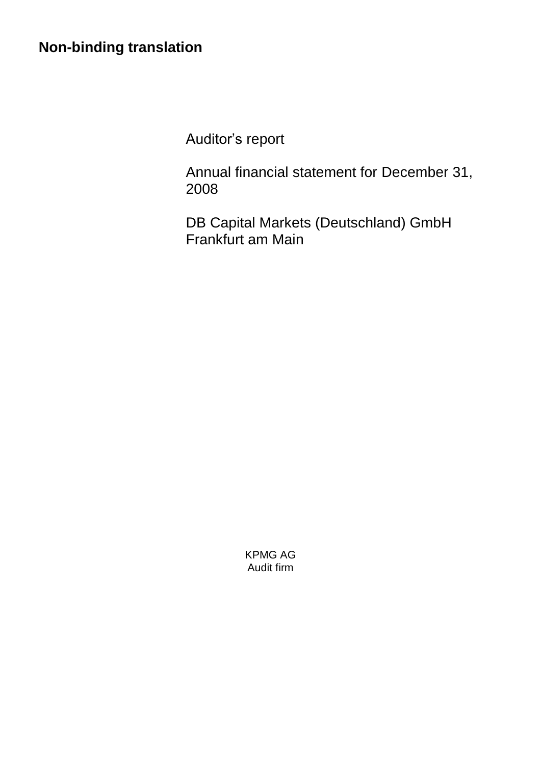# **Non-binding translation**

Auditor's report

Annual financial statement for December 31, 2008

DB Capital Markets (Deutschland) GmbH Frankfurt am Main

> KPMG AG Audit firm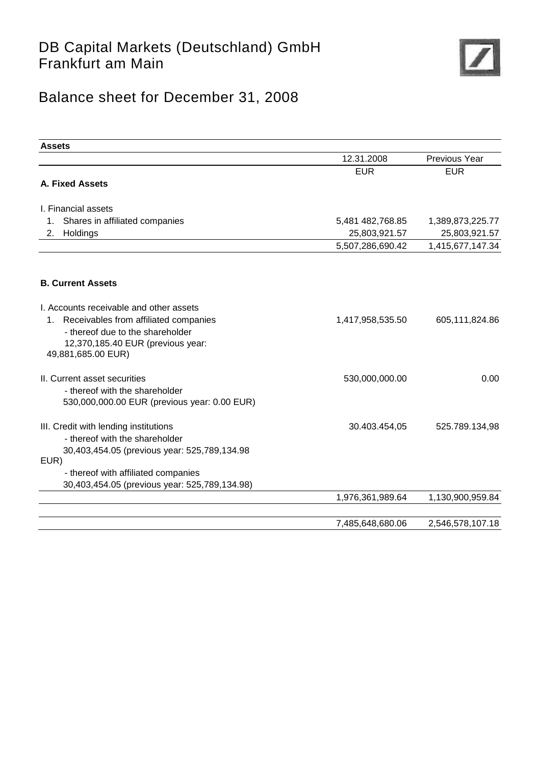

# Balance sheet for December 31, 2008

| <b>Assets</b>                                                                                                                                                                         |                  |                  |
|---------------------------------------------------------------------------------------------------------------------------------------------------------------------------------------|------------------|------------------|
|                                                                                                                                                                                       | 12.31.2008       | Previous Year    |
|                                                                                                                                                                                       | <b>EUR</b>       | <b>EUR</b>       |
| <b>A. Fixed Assets</b>                                                                                                                                                                |                  |                  |
| I. Financial assets                                                                                                                                                                   |                  |                  |
| Shares in affiliated companies<br>1.                                                                                                                                                  | 5,481 482,768.85 | 1,389,873,225.77 |
| Holdings<br>2.                                                                                                                                                                        | 25,803,921.57    | 25,803,921.57    |
|                                                                                                                                                                                       | 5,507,286,690.42 | 1,415,677,147.34 |
|                                                                                                                                                                                       |                  |                  |
| <b>B. Current Assets</b>                                                                                                                                                              |                  |                  |
| I. Accounts receivable and other assets<br>Receivables from affiliated companies<br>1.<br>- thereof due to the shareholder<br>12,370,185.40 EUR (previous year:<br>49,881,685.00 EUR) | 1,417,958,535.50 | 605,111,824.86   |
| II. Current asset securities                                                                                                                                                          | 530,000,000.00   | 0.00             |
| - thereof with the shareholder<br>530,000,000.00 EUR (previous year: 0.00 EUR)                                                                                                        |                  |                  |
| III. Credit with lending institutions<br>- thereof with the shareholder<br>30,403,454.05 (previous year: 525,789,134.98                                                               | 30.403.454,05    | 525.789.134,98   |
| EUR)                                                                                                                                                                                  |                  |                  |
| - thereof with affiliated companies                                                                                                                                                   |                  |                  |
| 30,403,454.05 (previous year: 525,789,134.98)                                                                                                                                         |                  |                  |
|                                                                                                                                                                                       | 1,976,361,989.64 | 1,130,900,959.84 |
|                                                                                                                                                                                       | 7,485,648,680.06 | 2,546,578,107.18 |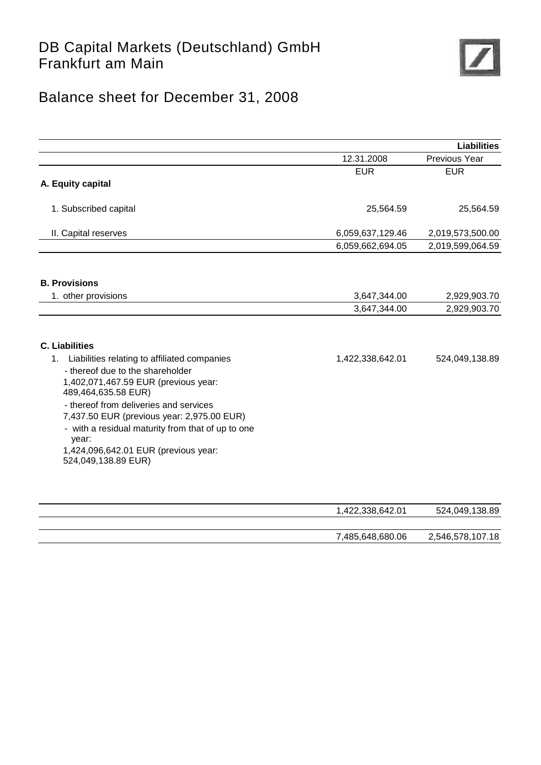

# Balance sheet for December 31, 2008

|                                                                                                                                                                                                                                                                                                                                                                                                     |                                      | <b>Liabilities</b>                 |
|-----------------------------------------------------------------------------------------------------------------------------------------------------------------------------------------------------------------------------------------------------------------------------------------------------------------------------------------------------------------------------------------------------|--------------------------------------|------------------------------------|
|                                                                                                                                                                                                                                                                                                                                                                                                     | 12.31.2008                           | Previous Year                      |
|                                                                                                                                                                                                                                                                                                                                                                                                     | <b>EUR</b>                           | <b>EUR</b>                         |
| A. Equity capital                                                                                                                                                                                                                                                                                                                                                                                   |                                      |                                    |
| 1. Subscribed capital                                                                                                                                                                                                                                                                                                                                                                               | 25,564.59                            | 25,564.59                          |
| II. Capital reserves                                                                                                                                                                                                                                                                                                                                                                                | 6,059,637,129.46                     | 2,019,573,500.00                   |
|                                                                                                                                                                                                                                                                                                                                                                                                     | 6,059,662,694.05                     | 2,019,599,064.59                   |
| <b>B. Provisions</b>                                                                                                                                                                                                                                                                                                                                                                                |                                      |                                    |
| 1. other provisions                                                                                                                                                                                                                                                                                                                                                                                 | 3,647,344.00                         | 2,929,903.70                       |
|                                                                                                                                                                                                                                                                                                                                                                                                     | 3,647,344.00                         | 2,929,903.70                       |
| <b>C. Liabilities</b><br>Liabilities relating to affiliated companies<br>1.<br>- thereof due to the shareholder<br>1,402,071,467.59 EUR (previous year:<br>489,464,635.58 EUR)<br>- thereof from deliveries and services<br>7,437.50 EUR (previous year: 2,975.00 EUR)<br>- with a residual maturity from that of up to one<br>year:<br>1,424,096,642.01 EUR (previous year:<br>524,049,138.89 EUR) | 1,422,338,642.01                     | 524,049,138.89                     |
|                                                                                                                                                                                                                                                                                                                                                                                                     | 1,422,338,642.01<br>7,485,648,680.06 | 524,049,138.89<br>2,546,578,107.18 |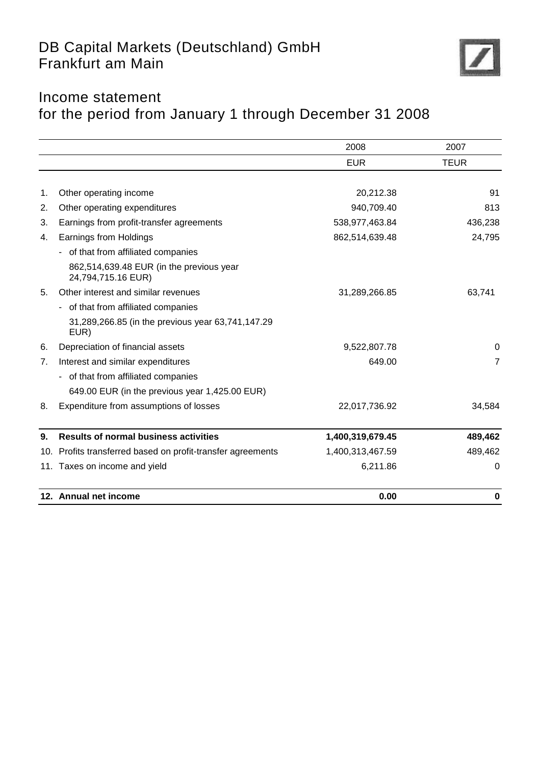

## Income statement for the period from January 1 through December 31 2008

|     |                                                                | 2008             | 2007           |
|-----|----------------------------------------------------------------|------------------|----------------|
|     |                                                                | <b>EUR</b>       | <b>TEUR</b>    |
| 1.  | Other operating income                                         | 20,212.38        | 91             |
| 2.  | Other operating expenditures                                   | 940,709.40       | 813            |
| 3.  | Earnings from profit-transfer agreements                       | 538,977,463.84   | 436,238        |
| 4.  | Earnings from Holdings                                         | 862,514,639.48   | 24,795         |
|     | of that from affiliated companies                              |                  |                |
|     | 862,514,639.48 EUR (in the previous year<br>24,794,715.16 EUR) |                  |                |
| 5.  | Other interest and similar revenues                            | 31,289,266.85    | 63,741         |
|     | of that from affiliated companies<br>$\blacksquare$            |                  |                |
|     | 31,289,266.85 (in the previous year 63,741,147.29<br>EUR)      |                  |                |
| 6.  | Depreciation of financial assets                               | 9,522,807.78     | $\Omega$       |
| 7.  | Interest and similar expenditures                              | 649.00           | $\overline{7}$ |
|     | - of that from affiliated companies                            |                  |                |
|     | 649.00 EUR (in the previous year 1,425.00 EUR)                 |                  |                |
| 8.  | Expenditure from assumptions of losses                         | 22,017,736.92    | 34,584         |
| 9.  | <b>Results of normal business activities</b>                   | 1,400,319,679.45 | 489,462        |
| 10. | Profits transferred based on profit-transfer agreements        | 1,400,313,467.59 | 489,462        |
|     | 11. Taxes on income and yield                                  | 6,211.86         | $\Omega$       |
|     | 12. Annual net income                                          | 0.00             | 0              |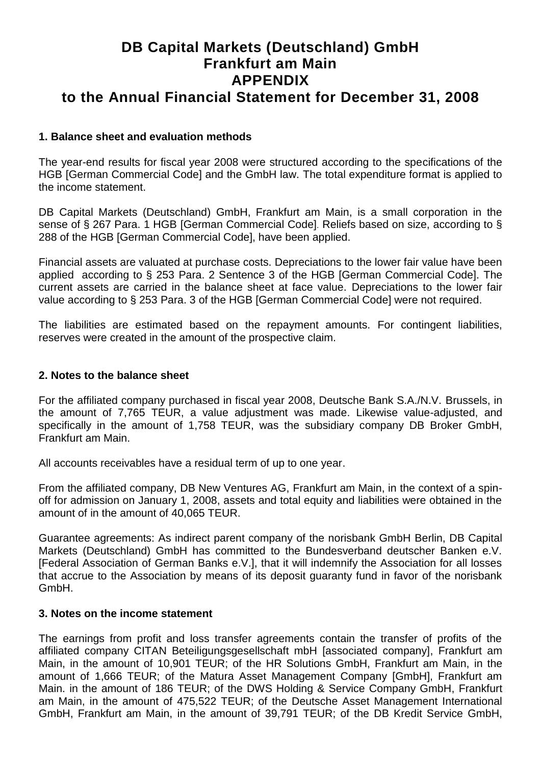## **DB Capital Markets (Deutschland) GmbH Frankfurt am Main APPENDIX to the Annual Financial Statement for December 31, 2008**

#### **1. Balance sheet and evaluation methods**

The year-end results for fiscal year 2008 were structured according to the specifications of the HGB [German Commercial Code] and the GmbH law. The total expenditure format is applied to the income statement.

DB Capital Markets (Deutschland) GmbH, Frankfurt am Main, is a small corporation in the sense of § 267 Para. 1 HGB [German Commercial Code]. Reliefs based on size, according to § 288 of the HGB [German Commercial Code], have been applied.

Financial assets are valuated at purchase costs. Depreciations to the lower fair value have been applied according to § 253 Para. 2 Sentence 3 of the HGB [German Commercial Code]. The current assets are carried in the balance sheet at face value. Depreciations to the lower fair value according to § 253 Para. 3 of the HGB [German Commercial Code] were not required.

The liabilities are estimated based on the repayment amounts. For contingent liabilities, reserves were created in the amount of the prospective claim.

#### **2. Notes to the balance sheet**

For the affiliated company purchased in fiscal year 2008, Deutsche Bank S.A./N.V. Brussels, in the amount of 7,765 TEUR, a value adjustment was made. Likewise value-adjusted, and specifically in the amount of 1,758 TEUR, was the subsidiary company DB Broker GmbH, Frankfurt am Main.

All accounts receivables have a residual term of up to one year.

From the affiliated company, DB New Ventures AG, Frankfurt am Main, in the context of a spinoff for admission on January 1, 2008, assets and total equity and liabilities were obtained in the amount of in the amount of 40,065 TEUR.

Guarantee agreements: As indirect parent company of the norisbank GmbH Berlin, DB Capital Markets (Deutschland) GmbH has committed to the Bundesverband deutscher Banken e.V. [Federal Association of German Banks e.V.], that it will indemnify the Association for all losses that accrue to the Association by means of its deposit guaranty fund in favor of the norisbank GmbH.

#### **3. Notes on the income statement**

The earnings from profit and loss transfer agreements contain the transfer of profits of the affiliated company CITAN Beteiligungsgesellschaft mbH [associated company], Frankfurt am Main, in the amount of 10,901 TEUR; of the HR Solutions GmbH, Frankfurt am Main, in the amount of 1,666 TEUR; of the Matura Asset Management Company [GmbH], Frankfurt am Main. in the amount of 186 TEUR; of the DWS Holding & Service Company GmbH, Frankfurt am Main, in the amount of 475,522 TEUR; of the Deutsche Asset Management International GmbH, Frankfurt am Main, in the amount of 39,791 TEUR; of the DB Kredit Service GmbH,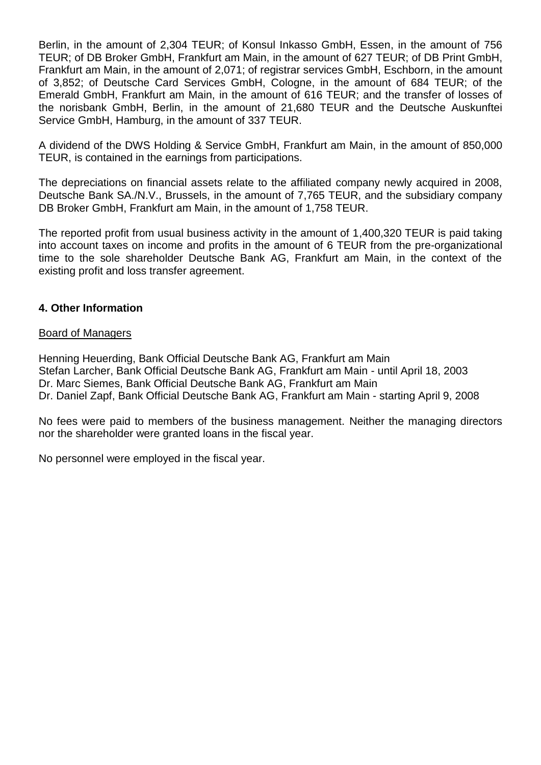Berlin, in the amount of 2,304 TEUR; of Konsul Inkasso GmbH, Essen, in the amount of 756 TEUR; of DB Broker GmbH, Frankfurt am Main, in the amount of 627 TEUR; of DB Print GmbH, Frankfurt am Main, in the amount of 2,071; of registrar services GmbH, Eschborn, in the amount of 3,852; of Deutsche Card Services GmbH, Cologne, in the amount of 684 TEUR; of the Emerald GmbH, Frankfurt am Main, in the amount of 616 TEUR; and the transfer of losses of the norisbank GmbH, Berlin, in the amount of 21,680 TEUR and the Deutsche Auskunftei Service GmbH, Hamburg, in the amount of 337 TEUR.

A dividend of the DWS Holding & Service GmbH, Frankfurt am Main, in the amount of 850,000 TEUR, is contained in the earnings from participations.

The depreciations on financial assets relate to the affiliated company newly acquired in 2008, Deutsche Bank SA./N.V., Brussels, in the amount of 7,765 TEUR, and the subsidiary company DB Broker GmbH, Frankfurt am Main, in the amount of 1,758 TEUR.

The reported profit from usual business activity in the amount of 1,400,320 TEUR is paid taking into account taxes on income and profits in the amount of 6 TEUR from the pre-organizational time to the sole shareholder Deutsche Bank AG, Frankfurt am Main, in the context of the existing profit and loss transfer agreement.

#### **4. Other Information**

#### Board of Managers

Henning Heuerding, Bank Official Deutsche Bank AG, Frankfurt am Main Stefan Larcher, Bank Official Deutsche Bank AG, Frankfurt am Main - until April 18, 2003 Dr. Marc Siemes, Bank Official Deutsche Bank AG, Frankfurt am Main Dr. Daniel Zapf, Bank Official Deutsche Bank AG, Frankfurt am Main - starting April 9, 2008

No fees were paid to members of the business management. Neither the managing directors nor the shareholder were granted loans in the fiscal year.

No personnel were employed in the fiscal year.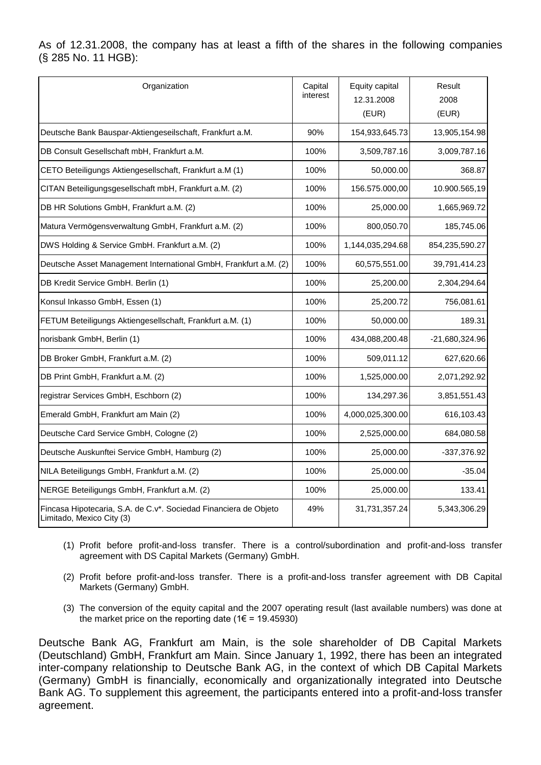As of 12.31.2008, the company has at least a fifth of the shares in the following companies (§ 285 No. 11 HGB):

| Organization                                                                                  | Capital<br>interest | Equity capital<br>12.31.2008<br>(EUR) | Result<br>2008<br>(EUR) |
|-----------------------------------------------------------------------------------------------|---------------------|---------------------------------------|-------------------------|
| Deutsche Bank Bauspar-Aktiengeseilschaft, Frankfurt a.M.                                      | 90%                 | 154,933,645.73                        | 13,905,154.98           |
| DB Consult Gesellschaft mbH, Frankfurt a.M.                                                   | 100%                | 3,509,787.16                          | 3,009,787.16            |
| CETO Beteiligungs Aktiengesellschaft, Frankfurt a.M (1)                                       | 100%                | 50,000.00                             | 368.87                  |
| CITAN Beteiligungsgesellschaft mbH, Frankfurt a.M. (2)                                        | 100%                | 156.575.000,00                        | 10.900.565,19           |
| DB HR Solutions GmbH, Frankfurt a.M. (2)                                                      | 100%                | 25,000.00                             | 1,665,969.72            |
| Matura Vermögensverwaltung GmbH, Frankfurt a.M. (2)                                           | 100%                | 800,050.70                            | 185,745.06              |
| DWS Holding & Service GmbH. Frankfurt a.M. (2)                                                | 100%                | 1,144,035,294.68                      | 854,235,590.27          |
| Deutsche Asset Management International GmbH, Frankfurt a.M. (2)                              | 100%                | 60,575,551.00                         | 39,791,414.23           |
| DB Kredit Service GmbH. Berlin (1)                                                            | 100%                | 25,200.00                             | 2,304,294.64            |
| Konsul Inkasso GmbH, Essen (1)                                                                | 100%                | 25,200.72                             | 756,081.61              |
| FETUM Beteiligungs Aktiengesellschaft, Frankfurt a.M. (1)                                     | 100%                | 50,000.00                             | 189.31                  |
| norisbank GmbH, Berlin (1)                                                                    | 100%                | 434,088,200.48                        | -21,680,324.96          |
| DB Broker GmbH, Frankfurt a.M. (2)                                                            | 100%                | 509,011.12                            | 627,620.66              |
| DB Print GmbH, Frankfurt a.M. (2)                                                             | 100%                | 1,525,000.00                          | 2,071,292.92            |
| registrar Services GmbH, Eschborn (2)                                                         | 100%                | 134,297.36                            | 3,851,551.43            |
| Emerald GmbH, Frankfurt am Main (2)                                                           | 100%                | 4,000,025,300.00                      | 616,103.43              |
| Deutsche Card Service GmbH, Cologne (2)                                                       | 100%                | 2,525,000.00                          | 684,080.58              |
| Deutsche Auskunftei Service GmbH, Hamburg (2)                                                 | 100%                | 25,000.00                             | -337,376.92             |
| NILA Beteiligungs GmbH, Frankfurt a.M. (2)                                                    | 100%                | 25,000.00                             | $-35.04$                |
| NERGE Beteiligungs GmbH, Frankfurt a.M. (2)                                                   | 100%                | 25,000.00                             | 133.41                  |
| Fincasa Hipotecaria, S.A. de C.v*. Sociedad Financiera de Objeto<br>Limitado, Mexico City (3) | 49%                 | 31,731,357.24                         | 5,343,306.29            |

- (1) Profit before profit-and-loss transfer. There is a control/subordination and profit-and-loss transfer agreement with DS Capital Markets (Germany) GmbH.
- (2) Profit before profit-and-loss transfer. There is a profit-and-loss transfer agreement with DB Capital Markets (Germany) GmbH.
- (3) The conversion of the equity capital and the 2007 operating result (last available numbers) was done at the market price on the reporting date ( $1 \in = 19.45930$ )

Deutsche Bank AG, Frankfurt am Main, is the sole shareholder of DB Capital Markets (Deutschland) GmbH, Frankfurt am Main. Since January 1, 1992, there has been an integrated inter-company relationship to Deutsche Bank AG, in the context of which DB Capital Markets (Germany) GmbH is financially, economically and organizationally integrated into Deutsche Bank AG. To supplement this agreement, the participants entered into a profit-and-loss transfer agreement.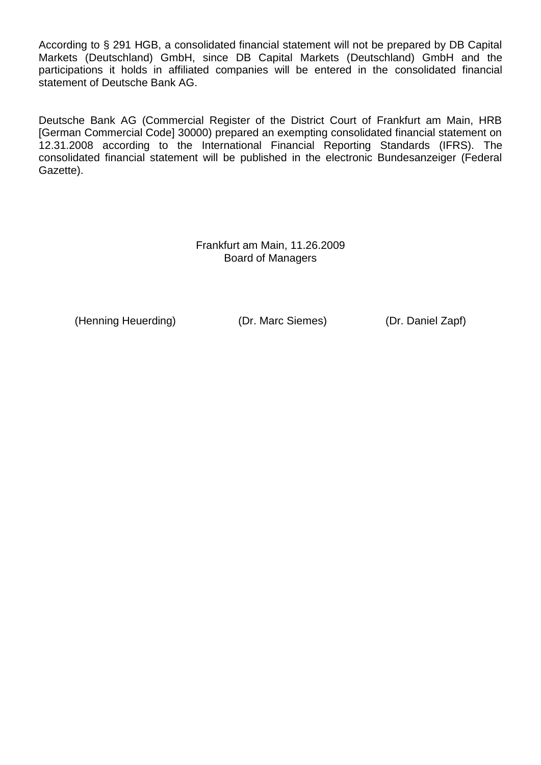According to § 291 HGB, a consolidated financial statement will not be prepared by DB Capital Markets (Deutschland) GmbH, since DB Capital Markets (Deutschland) GmbH and the participations it holds in affiliated companies will be entered in the consolidated financial statement of Deutsche Bank AG.

Deutsche Bank AG (Commercial Register of the District Court of Frankfurt am Main, HRB [German Commercial Code] 30000) prepared an exempting consolidated financial statement on 12.31.2008 according to the International Financial Reporting Standards (IFRS). The consolidated financial statement will be published in the electronic Bundesanzeiger (Federal Gazette).

> Frankfurt am Main, 11.26.2009 Board of Managers

(Henning Heuerding) (Dr. Marc Siemes) (Dr. Daniel Zapf)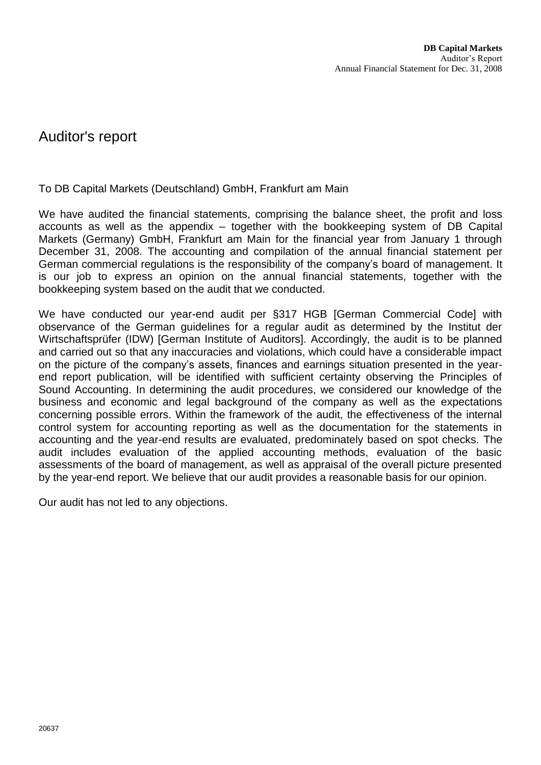### Auditor's report

To DB Capital Markets (Deutschland) GmbH, Frankfurt am Main

We have audited the financial statements, comprising the balance sheet, the profit and loss accounts as well as the appendix – together with the bookkeeping system of DB Capital Markets (Germany) GmbH, Frankfurt am Main for the financial year from January 1 through December 31, 2008. The accounting and compilation of the annual financial statement per German commercial regulations is the responsibility of the company's board of management. It is our job to express an opinion on the annual financial statements, together with the bookkeeping system based on the audit that we conducted.

We have conducted our year-end audit per §317 HGB [German Commercial Code] with observance of the German guidelines for a regular audit as determined by the Institut der Wirtschaftsprüfer (IDW) [German Institute of Auditors]. Accordingly, the audit is to be planned and carried out so that any inaccuracies and violations, which could have a considerable impact on the picture of the company's assets, finances and earnings situation presented in the yearend report publication, will be identified with sufficient certainty observing the Principles of Sound Accounting. In determining the audit procedures, we considered our knowledge of the business and economic and legal background of the company as well as the expectations concerning possible errors. Within the framework of the audit, the effectiveness of the internal control system for accounting reporting as well as the documentation for the statements in accounting and the year-end results are evaluated, predominately based on spot checks. The audit includes evaluation of the applied accounting methods, evaluation of the basic assessments of the board of management, as well as appraisal of the overall picture presented by the year-end report. We believe that our audit provides a reasonable basis for our opinion.

Our audit has not led to any objections.